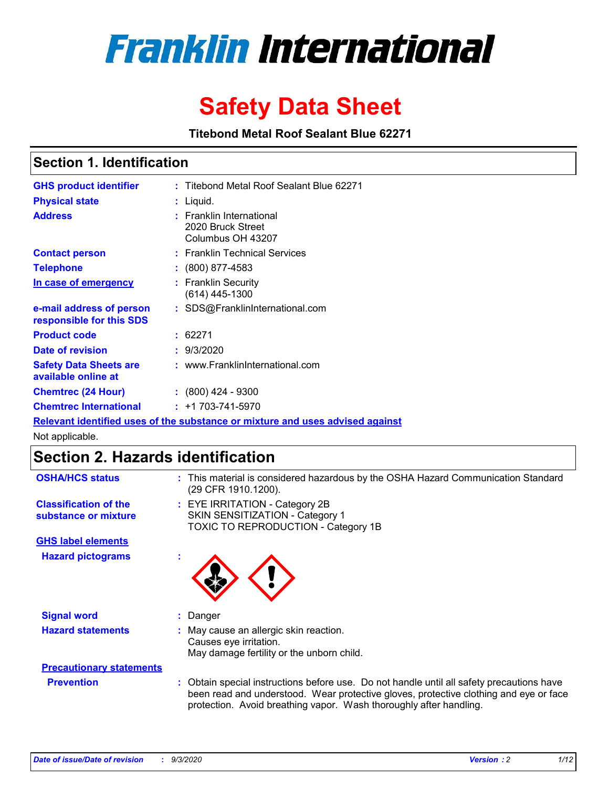

# **Safety Data Sheet**

**Titebond Metal Roof Sealant Blue 62271**

### **Section 1. Identification**

| <b>GHS product identifier</b>                                                 | : Titebond Metal Roof Sealant Blue 62271                           |  |  |  |  |
|-------------------------------------------------------------------------------|--------------------------------------------------------------------|--|--|--|--|
| <b>Physical state</b>                                                         | : Liquid.                                                          |  |  |  |  |
| <b>Address</b>                                                                | : Franklin International<br>2020 Bruck Street<br>Columbus OH 43207 |  |  |  |  |
| <b>Contact person</b>                                                         | : Franklin Technical Services                                      |  |  |  |  |
| <b>Telephone</b>                                                              | : (800) 877-4583                                                   |  |  |  |  |
| In case of emergency                                                          | : Franklin Security<br>(614) 445-1300                              |  |  |  |  |
| e-mail address of person<br>responsible for this SDS                          | : SDS@FranklinInternational.com                                    |  |  |  |  |
| <b>Product code</b>                                                           | : 62271                                                            |  |  |  |  |
| Date of revision                                                              | : 9/3/2020                                                         |  |  |  |  |
| <b>Safety Data Sheets are</b><br>available online at                          | : www.FranklinInternational.com                                    |  |  |  |  |
| <b>Chemtrec (24 Hour)</b>                                                     | $\div$ (800) 424 - 9300                                            |  |  |  |  |
| <b>Chemtrec International</b>                                                 | $: +1703 - 741 - 5970$                                             |  |  |  |  |
| Relevant identified uses of the substance or mixture and uses advised against |                                                                    |  |  |  |  |

Not applicable.

### **Section 2. Hazards identification**

| <b>OSHA/HCS status</b>                               | This material is considered hazardous by the OSHA Hazard Communication Standard<br>(29 CFR 1910.1200).                                                                                                                                                 |  |  |  |
|------------------------------------------------------|--------------------------------------------------------------------------------------------------------------------------------------------------------------------------------------------------------------------------------------------------------|--|--|--|
| <b>Classification of the</b><br>substance or mixture | EYE IRRITATION - Category 2B<br>SKIN SENSITIZATION - Category 1<br><b>TOXIC TO REPRODUCTION - Category 1B</b>                                                                                                                                          |  |  |  |
| <b>GHS label elements</b>                            |                                                                                                                                                                                                                                                        |  |  |  |
| <b>Hazard pictograms</b>                             |                                                                                                                                                                                                                                                        |  |  |  |
| <b>Signal word</b>                                   | Danger                                                                                                                                                                                                                                                 |  |  |  |
| <b>Hazard statements</b>                             | May cause an allergic skin reaction.<br>Causes eye irritation.<br>May damage fertility or the unborn child.                                                                                                                                            |  |  |  |
| <b>Precautionary statements</b>                      |                                                                                                                                                                                                                                                        |  |  |  |
| <b>Prevention</b>                                    | Obtain special instructions before use. Do not handle until all safety precautions have<br>been read and understood. Wear protective gloves, protective clothing and eye or face<br>protection. Avoid breathing vapor. Wash thoroughly after handling. |  |  |  |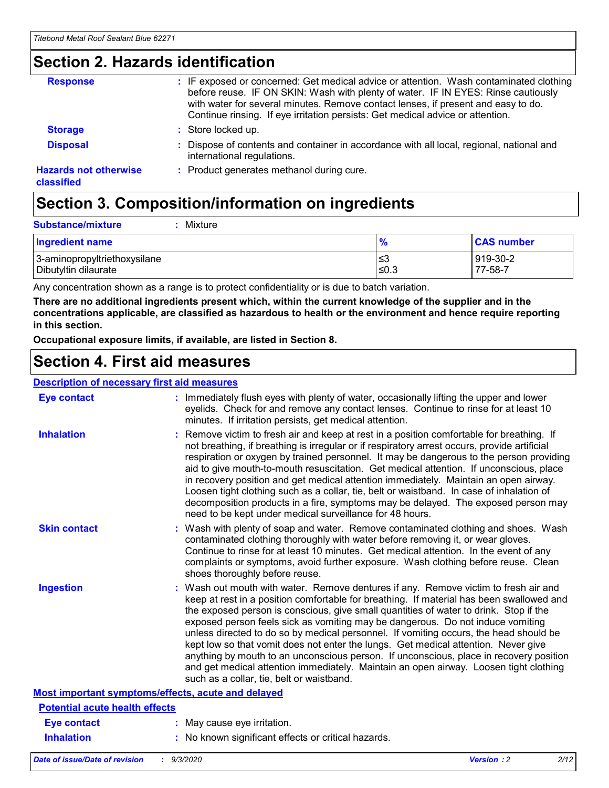### **Section 2. Hazards identification**

| <b>Response</b>                            | : IF exposed or concerned: Get medical advice or attention. Wash contaminated clothing<br>before reuse. IF ON SKIN: Wash with plenty of water. IF IN EYES: Rinse cautiously<br>with water for several minutes. Remove contact lenses, if present and easy to do.<br>Continue rinsing. If eye irritation persists: Get medical advice or attention. |
|--------------------------------------------|----------------------------------------------------------------------------------------------------------------------------------------------------------------------------------------------------------------------------------------------------------------------------------------------------------------------------------------------------|
| <b>Storage</b>                             | : Store locked up.                                                                                                                                                                                                                                                                                                                                 |
| <b>Disposal</b>                            | : Dispose of contents and container in accordance with all local, regional, national and<br>international regulations.                                                                                                                                                                                                                             |
| <b>Hazards not otherwise</b><br>classified | : Product generates methanol during cure.                                                                                                                                                                                                                                                                                                          |

## **Section 3. Composition/information on ingredients**

| <b>Ingredient name</b>       | $\frac{9}{6}$ | <b>CAS number</b> |
|------------------------------|---------------|-------------------|
| 3-aminopropyltriethoxysilane | ≤3            | 919-30-2          |
| Dibutyltin dilaurate         | ∣≤0.3         | 77-58-7           |

Any concentration shown as a range is to protect confidentiality or is due to batch variation.

**There are no additional ingredients present which, within the current knowledge of the supplier and in the concentrations applicable, are classified as hazardous to health or the environment and hence require reporting in this section.**

**Occupational exposure limits, if available, are listed in Section 8.**

### **Section 4. First aid measures**

| <b>Description of necessary first aid measures</b> |                                                                                                                                                                                                                                                                                                                                                                                                                                                                                                                                                                                                                                                                                                                                                                           |
|----------------------------------------------------|---------------------------------------------------------------------------------------------------------------------------------------------------------------------------------------------------------------------------------------------------------------------------------------------------------------------------------------------------------------------------------------------------------------------------------------------------------------------------------------------------------------------------------------------------------------------------------------------------------------------------------------------------------------------------------------------------------------------------------------------------------------------------|
| <b>Eye contact</b>                                 | : Immediately flush eyes with plenty of water, occasionally lifting the upper and lower<br>eyelids. Check for and remove any contact lenses. Continue to rinse for at least 10<br>minutes. If irritation persists, get medical attention.                                                                                                                                                                                                                                                                                                                                                                                                                                                                                                                                 |
| <b>Inhalation</b>                                  | : Remove victim to fresh air and keep at rest in a position comfortable for breathing. If<br>not breathing, if breathing is irregular or if respiratory arrest occurs, provide artificial<br>respiration or oxygen by trained personnel. It may be dangerous to the person providing<br>aid to give mouth-to-mouth resuscitation. Get medical attention. If unconscious, place<br>in recovery position and get medical attention immediately. Maintain an open airway.<br>Loosen tight clothing such as a collar, tie, belt or waistband. In case of inhalation of<br>decomposition products in a fire, symptoms may be delayed. The exposed person may<br>need to be kept under medical surveillance for 48 hours.                                                       |
| <b>Skin contact</b>                                | : Wash with plenty of soap and water. Remove contaminated clothing and shoes. Wash<br>contaminated clothing thoroughly with water before removing it, or wear gloves.<br>Continue to rinse for at least 10 minutes. Get medical attention. In the event of any<br>complaints or symptoms, avoid further exposure. Wash clothing before reuse. Clean<br>shoes thoroughly before reuse.                                                                                                                                                                                                                                                                                                                                                                                     |
| <b>Ingestion</b>                                   | : Wash out mouth with water. Remove dentures if any. Remove victim to fresh air and<br>keep at rest in a position comfortable for breathing. If material has been swallowed and<br>the exposed person is conscious, give small quantities of water to drink. Stop if the<br>exposed person feels sick as vomiting may be dangerous. Do not induce vomiting<br>unless directed to do so by medical personnel. If vomiting occurs, the head should be<br>kept low so that vomit does not enter the lungs. Get medical attention. Never give<br>anything by mouth to an unconscious person. If unconscious, place in recovery position<br>and get medical attention immediately. Maintain an open airway. Loosen tight clothing<br>such as a collar, tie, belt or waistband. |
| Most important symptoms/effects, acute and delayed |                                                                                                                                                                                                                                                                                                                                                                                                                                                                                                                                                                                                                                                                                                                                                                           |
| <b>Potential acute health effects</b>              |                                                                                                                                                                                                                                                                                                                                                                                                                                                                                                                                                                                                                                                                                                                                                                           |
| Eye contact                                        | : May cause eye irritation.                                                                                                                                                                                                                                                                                                                                                                                                                                                                                                                                                                                                                                                                                                                                               |
| <b>Inhalation</b>                                  | : No known significant effects or critical hazards.                                                                                                                                                                                                                                                                                                                                                                                                                                                                                                                                                                                                                                                                                                                       |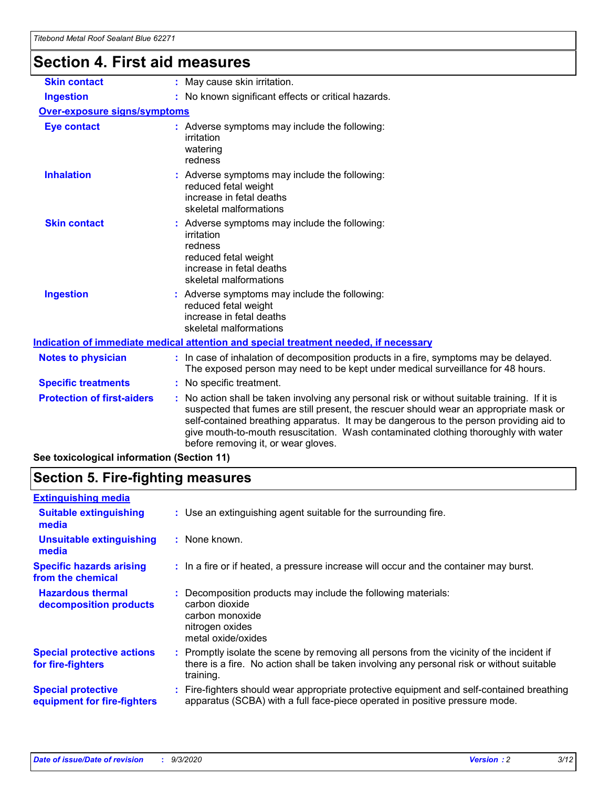## **Section 4. First aid measures**

| <b>Skin contact</b>                 | : May cause skin irritation.                                                                                                                                                                                                                                                                                                                                                                                    |  |  |  |
|-------------------------------------|-----------------------------------------------------------------------------------------------------------------------------------------------------------------------------------------------------------------------------------------------------------------------------------------------------------------------------------------------------------------------------------------------------------------|--|--|--|
| <b>Ingestion</b>                    | : No known significant effects or critical hazards.                                                                                                                                                                                                                                                                                                                                                             |  |  |  |
| <b>Over-exposure signs/symptoms</b> |                                                                                                                                                                                                                                                                                                                                                                                                                 |  |  |  |
| <b>Eye contact</b>                  | : Adverse symptoms may include the following:<br>irritation<br>watering<br>redness                                                                                                                                                                                                                                                                                                                              |  |  |  |
| <b>Inhalation</b>                   | : Adverse symptoms may include the following:<br>reduced fetal weight<br>increase in fetal deaths<br>skeletal malformations                                                                                                                                                                                                                                                                                     |  |  |  |
| <b>Skin contact</b>                 | : Adverse symptoms may include the following:<br>irritation<br>redness<br>reduced fetal weight<br>increase in fetal deaths<br>skeletal malformations                                                                                                                                                                                                                                                            |  |  |  |
| <b>Ingestion</b>                    | : Adverse symptoms may include the following:<br>reduced fetal weight<br>increase in fetal deaths<br>skeletal malformations                                                                                                                                                                                                                                                                                     |  |  |  |
|                                     | <u>Indication of immediate medical attention and special treatment needed, if necessary</u>                                                                                                                                                                                                                                                                                                                     |  |  |  |
| <b>Notes to physician</b>           | : In case of inhalation of decomposition products in a fire, symptoms may be delayed.<br>The exposed person may need to be kept under medical surveillance for 48 hours.                                                                                                                                                                                                                                        |  |  |  |
| <b>Specific treatments</b>          | : No specific treatment.                                                                                                                                                                                                                                                                                                                                                                                        |  |  |  |
| <b>Protection of first-aiders</b>   | : No action shall be taken involving any personal risk or without suitable training. If it is<br>suspected that fumes are still present, the rescuer should wear an appropriate mask or<br>self-contained breathing apparatus. It may be dangerous to the person providing aid to<br>give mouth-to-mouth resuscitation. Wash contaminated clothing thoroughly with water<br>before removing it, or wear gloves. |  |  |  |
|                                     |                                                                                                                                                                                                                                                                                                                                                                                                                 |  |  |  |

**See toxicological information (Section 11)**

### **Section 5. Fire-fighting measures**

| <b>Extinguishing media</b>                               |                                                                                                                                                                                                     |
|----------------------------------------------------------|-----------------------------------------------------------------------------------------------------------------------------------------------------------------------------------------------------|
| <b>Suitable extinguishing</b><br>media                   | : Use an extinguishing agent suitable for the surrounding fire.                                                                                                                                     |
| <b>Unsuitable extinguishing</b><br>media                 | : None known.                                                                                                                                                                                       |
| <b>Specific hazards arising</b><br>from the chemical     | : In a fire or if heated, a pressure increase will occur and the container may burst.                                                                                                               |
| <b>Hazardous thermal</b><br>decomposition products       | Decomposition products may include the following materials:<br>carbon dioxide<br>carbon monoxide<br>nitrogen oxides<br>metal oxide/oxides                                                           |
| <b>Special protective actions</b><br>for fire-fighters   | : Promptly isolate the scene by removing all persons from the vicinity of the incident if<br>there is a fire. No action shall be taken involving any personal risk or without suitable<br>training. |
| <b>Special protective</b><br>equipment for fire-fighters | : Fire-fighters should wear appropriate protective equipment and self-contained breathing<br>apparatus (SCBA) with a full face-piece operated in positive pressure mode.                            |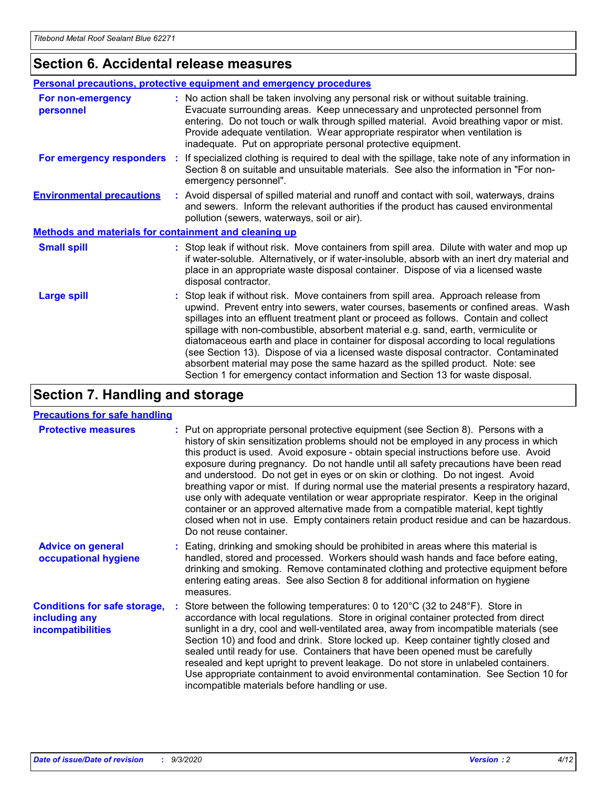### **Section 6. Accidental release measures**

|                                                              | <b>Personal precautions, protective equipment and emergency procedures</b>                                                                                                                                                                                                                                                                                                                                                                                                                                                                                                                                                                                                                                   |  |  |  |
|--------------------------------------------------------------|--------------------------------------------------------------------------------------------------------------------------------------------------------------------------------------------------------------------------------------------------------------------------------------------------------------------------------------------------------------------------------------------------------------------------------------------------------------------------------------------------------------------------------------------------------------------------------------------------------------------------------------------------------------------------------------------------------------|--|--|--|
| For non-emergency<br>personnel                               | : No action shall be taken involving any personal risk or without suitable training.<br>Evacuate surrounding areas. Keep unnecessary and unprotected personnel from<br>entering. Do not touch or walk through spilled material. Avoid breathing vapor or mist.<br>Provide adequate ventilation. Wear appropriate respirator when ventilation is<br>inadequate. Put on appropriate personal protective equipment.                                                                                                                                                                                                                                                                                             |  |  |  |
| For emergency responders                                     | If specialized clothing is required to deal with the spillage, take note of any information in<br>÷.<br>Section 8 on suitable and unsuitable materials. See also the information in "For non-<br>emergency personnel".                                                                                                                                                                                                                                                                                                                                                                                                                                                                                       |  |  |  |
| <b>Environmental precautions</b>                             | : Avoid dispersal of spilled material and runoff and contact with soil, waterways, drains<br>and sewers. Inform the relevant authorities if the product has caused environmental<br>pollution (sewers, waterways, soil or air).                                                                                                                                                                                                                                                                                                                                                                                                                                                                              |  |  |  |
| <b>Methods and materials for containment and cleaning up</b> |                                                                                                                                                                                                                                                                                                                                                                                                                                                                                                                                                                                                                                                                                                              |  |  |  |
| <b>Small spill</b>                                           | : Stop leak if without risk. Move containers from spill area. Dilute with water and mop up<br>if water-soluble. Alternatively, or if water-insoluble, absorb with an inert dry material and<br>place in an appropriate waste disposal container. Dispose of via a licensed waste<br>disposal contractor.                                                                                                                                                                                                                                                                                                                                                                                                     |  |  |  |
| <b>Large spill</b>                                           | : Stop leak if without risk. Move containers from spill area. Approach release from<br>upwind. Prevent entry into sewers, water courses, basements or confined areas. Wash<br>spillages into an effluent treatment plant or proceed as follows. Contain and collect<br>spillage with non-combustible, absorbent material e.g. sand, earth, vermiculite or<br>diatomaceous earth and place in container for disposal according to local regulations<br>(see Section 13). Dispose of via a licensed waste disposal contractor. Contaminated<br>absorbent material may pose the same hazard as the spilled product. Note: see<br>Section 1 for emergency contact information and Section 13 for waste disposal. |  |  |  |

### **Section 7. Handling and storage**

#### **Precautions for safe handling**

| <b>Protective measures</b>                                                       | : Put on appropriate personal protective equipment (see Section 8). Persons with a<br>history of skin sensitization problems should not be employed in any process in which<br>this product is used. Avoid exposure - obtain special instructions before use. Avoid<br>exposure during pregnancy. Do not handle until all safety precautions have been read<br>and understood. Do not get in eyes or on skin or clothing. Do not ingest. Avoid<br>breathing vapor or mist. If during normal use the material presents a respiratory hazard,<br>use only with adequate ventilation or wear appropriate respirator. Keep in the original<br>container or an approved alternative made from a compatible material, kept tightly<br>closed when not in use. Empty containers retain product residue and can be hazardous.<br>Do not reuse container. |
|----------------------------------------------------------------------------------|--------------------------------------------------------------------------------------------------------------------------------------------------------------------------------------------------------------------------------------------------------------------------------------------------------------------------------------------------------------------------------------------------------------------------------------------------------------------------------------------------------------------------------------------------------------------------------------------------------------------------------------------------------------------------------------------------------------------------------------------------------------------------------------------------------------------------------------------------|
| <b>Advice on general</b><br>occupational hygiene                                 | : Eating, drinking and smoking should be prohibited in areas where this material is<br>handled, stored and processed. Workers should wash hands and face before eating,<br>drinking and smoking. Remove contaminated clothing and protective equipment before<br>entering eating areas. See also Section 8 for additional information on hygiene<br>measures.                                                                                                                                                                                                                                                                                                                                                                                                                                                                                    |
| <b>Conditions for safe storage,</b><br>including any<br><i>incompatibilities</i> | Store between the following temperatures: 0 to 120°C (32 to 248°F). Store in<br>accordance with local regulations. Store in original container protected from direct<br>sunlight in a dry, cool and well-ventilated area, away from incompatible materials (see<br>Section 10) and food and drink. Store locked up. Keep container tightly closed and<br>sealed until ready for use. Containers that have been opened must be carefully<br>resealed and kept upright to prevent leakage. Do not store in unlabeled containers.<br>Use appropriate containment to avoid environmental contamination. See Section 10 for<br>incompatible materials before handling or use.                                                                                                                                                                         |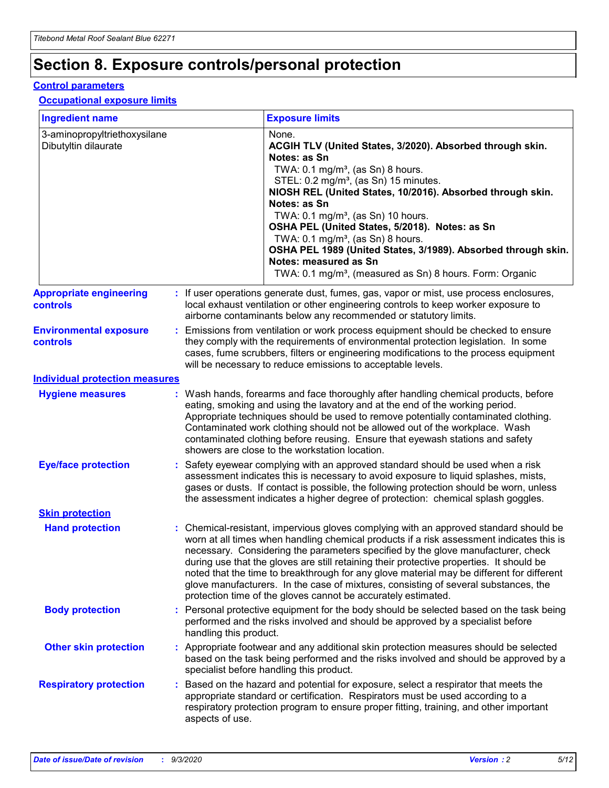### **Section 8. Exposure controls/personal protection**

#### **Control parameters**

#### **Occupational exposure limits**

| <b>Ingredient name</b>                               |    |                        | <b>Exposure limits</b>                                                                                                                                                                                                                                                                                                                                                                                                                                                                                                                                                                                                 |
|------------------------------------------------------|----|------------------------|------------------------------------------------------------------------------------------------------------------------------------------------------------------------------------------------------------------------------------------------------------------------------------------------------------------------------------------------------------------------------------------------------------------------------------------------------------------------------------------------------------------------------------------------------------------------------------------------------------------------|
| 3-aminopropyltriethoxysilane<br>Dibutyltin dilaurate |    |                        | None.<br>ACGIH TLV (United States, 3/2020). Absorbed through skin.<br>Notes: as Sn<br>TWA: 0.1 mg/m <sup>3</sup> , (as Sn) 8 hours.<br>STEL: 0.2 mg/m <sup>3</sup> , (as Sn) 15 minutes.<br>NIOSH REL (United States, 10/2016). Absorbed through skin.<br>Notes: as Sn<br>TWA: 0.1 mg/m <sup>3</sup> , (as Sn) 10 hours.<br>OSHA PEL (United States, 5/2018). Notes: as Sn<br>TWA: $0.1 \text{ mg/m}^3$ , (as Sn) 8 hours.<br>OSHA PEL 1989 (United States, 3/1989). Absorbed through skin.<br>Notes: measured as Sn<br>TWA: 0.1 mg/m <sup>3</sup> , (measured as Sn) 8 hours. Form: Organic                           |
| <b>Appropriate engineering</b><br>controls           |    |                        | : If user operations generate dust, fumes, gas, vapor or mist, use process enclosures,<br>local exhaust ventilation or other engineering controls to keep worker exposure to<br>airborne contaminants below any recommended or statutory limits.                                                                                                                                                                                                                                                                                                                                                                       |
| <b>Environmental exposure</b><br><b>controls</b>     |    |                        | Emissions from ventilation or work process equipment should be checked to ensure<br>they comply with the requirements of environmental protection legislation. In some<br>cases, fume scrubbers, filters or engineering modifications to the process equipment<br>will be necessary to reduce emissions to acceptable levels.                                                                                                                                                                                                                                                                                          |
| <b>Individual protection measures</b>                |    |                        |                                                                                                                                                                                                                                                                                                                                                                                                                                                                                                                                                                                                                        |
| <b>Hygiene measures</b>                              |    |                        | : Wash hands, forearms and face thoroughly after handling chemical products, before<br>eating, smoking and using the lavatory and at the end of the working period.<br>Appropriate techniques should be used to remove potentially contaminated clothing.<br>Contaminated work clothing should not be allowed out of the workplace. Wash<br>contaminated clothing before reusing. Ensure that eyewash stations and safety<br>showers are close to the workstation location.                                                                                                                                            |
| <b>Eye/face protection</b>                           |    |                        | : Safety eyewear complying with an approved standard should be used when a risk<br>assessment indicates this is necessary to avoid exposure to liquid splashes, mists,<br>gases or dusts. If contact is possible, the following protection should be worn, unless<br>the assessment indicates a higher degree of protection: chemical splash goggles.                                                                                                                                                                                                                                                                  |
| <b>Skin protection</b>                               |    |                        |                                                                                                                                                                                                                                                                                                                                                                                                                                                                                                                                                                                                                        |
| <b>Hand protection</b>                               |    |                        | : Chemical-resistant, impervious gloves complying with an approved standard should be<br>worn at all times when handling chemical products if a risk assessment indicates this is<br>necessary. Considering the parameters specified by the glove manufacturer, check<br>during use that the gloves are still retaining their protective properties. It should be<br>noted that the time to breakthrough for any glove material may be different for different<br>glove manufacturers. In the case of mixtures, consisting of several substances, the<br>protection time of the gloves cannot be accurately estimated. |
| <b>Body protection</b>                               |    | handling this product. | Personal protective equipment for the body should be selected based on the task being<br>performed and the risks involved and should be approved by a specialist before                                                                                                                                                                                                                                                                                                                                                                                                                                                |
| <b>Other skin protection</b>                         |    |                        | : Appropriate footwear and any additional skin protection measures should be selected<br>based on the task being performed and the risks involved and should be approved by a<br>specialist before handling this product.                                                                                                                                                                                                                                                                                                                                                                                              |
| <b>Respiratory protection</b>                        | ÷. | aspects of use.        | Based on the hazard and potential for exposure, select a respirator that meets the<br>appropriate standard or certification. Respirators must be used according to a<br>respiratory protection program to ensure proper fitting, training, and other important                                                                                                                                                                                                                                                                                                                                                         |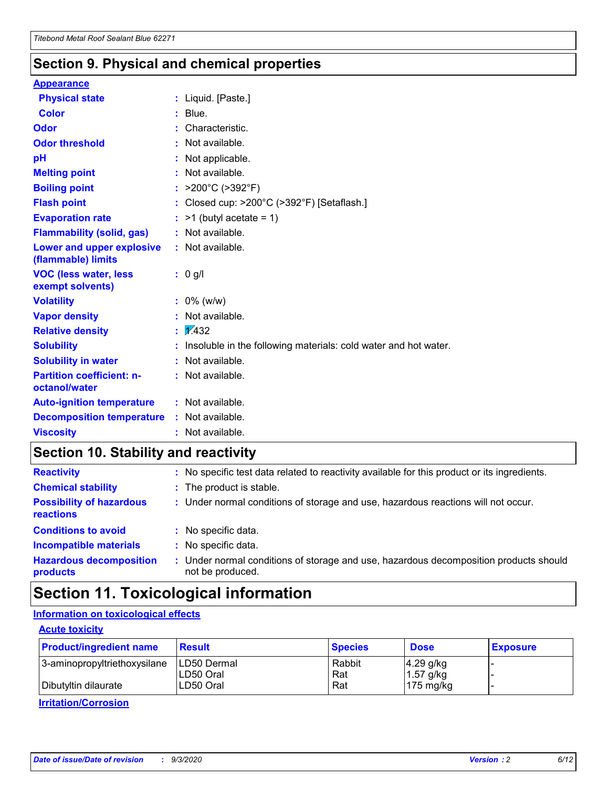### **Section 9. Physical and chemical properties**

#### **Appearance**

| <b>Physical state</b>                             | : Liquid. [Paste.]                                              |
|---------------------------------------------------|-----------------------------------------------------------------|
| Color                                             | $:$ Blue.                                                       |
| Odor                                              | : Characteristic.                                               |
| <b>Odor threshold</b>                             | $:$ Not available.                                              |
| рH                                                | : Not applicable.                                               |
| <b>Melting point</b>                              | : Not available.                                                |
| <b>Boiling point</b>                              | : $>200^{\circ}$ C ( $>392^{\circ}$ F)                          |
| <b>Flash point</b>                                | : Closed cup: >200°C (>392°F) [Setaflash.]                      |
| <b>Evaporation rate</b>                           | $:$ >1 (butyl acetate = 1)                                      |
| <b>Flammability (solid, gas)</b>                  | : Not available.                                                |
| Lower and upper explosive<br>(flammable) limits   | : Not available.                                                |
| <b>VOC (less water, less</b><br>exempt solvents)  | $: 0$ g/l                                                       |
| <b>Volatility</b>                                 | $: 0\%$ (w/w)                                                   |
| <b>Vapor density</b>                              | : Not available.                                                |
| <b>Relative density</b>                           | $\mathbf{1}$ $\mathbf{\mathcal{V}}$ 432                         |
| <b>Solubility</b>                                 | Insoluble in the following materials: cold water and hot water. |
| <b>Solubility in water</b>                        | : Not available.                                                |
| <b>Partition coefficient: n-</b><br>octanol/water | $:$ Not available.                                              |
| <b>Auto-ignition temperature</b>                  | : Not available.                                                |
| <b>Decomposition temperature</b>                  | : Not available.                                                |
| <b>Viscosity</b>                                  | : Not available.                                                |

### **Section 10. Stability and reactivity**

| <b>Reactivity</b>                            | : No specific test data related to reactivity available for this product or its ingredients.            |
|----------------------------------------------|---------------------------------------------------------------------------------------------------------|
| <b>Chemical stability</b>                    | : The product is stable.                                                                                |
| <b>Possibility of hazardous</b><br>reactions | : Under normal conditions of storage and use, hazardous reactions will not occur.                       |
| <b>Conditions to avoid</b>                   | : No specific data.                                                                                     |
| <b>Incompatible materials</b>                | : No specific data.                                                                                     |
| <b>Hazardous decomposition</b><br>products   | Under normal conditions of storage and use, hazardous decomposition products should<br>not be produced. |

### **Section 11. Toxicological information**

#### **Information on toxicological effects**

#### **Acute toxicity**

| <b>Product/ingredient name</b> | <b>Result</b>           | <b>Species</b> | <b>Dose</b>                | <b>Exposure</b> |
|--------------------------------|-------------------------|----------------|----------------------------|-----------------|
| 3-aminopropyltriethoxysilane   | <b>ILD50 Dermal</b>     | Rabbit         | 4.29 g/kg                  |                 |
| Dibutyltin dilaurate           | ILD50 Oral<br>LD50 Oral | Rat<br>Rat     | $1.57$ g/kg<br>175 $mg/kg$ |                 |
|                                |                         |                |                            |                 |

**Irritation/Corrosion**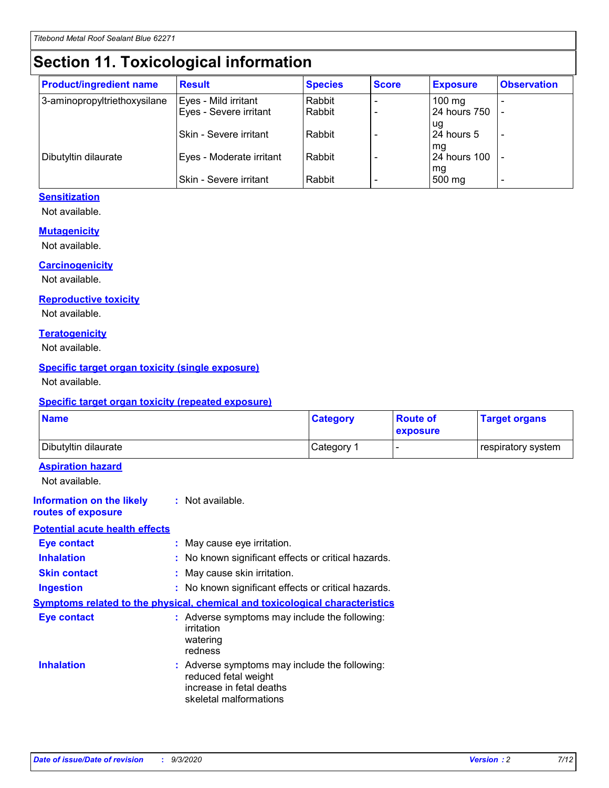## **Section 11. Toxicological information**

| <b>Product/ingredient name</b> | <b>Result</b>            | <b>Species</b> | <b>Score</b> | <b>Exposure</b>     | <b>Observation</b> |
|--------------------------------|--------------------------|----------------|--------------|---------------------|--------------------|
| 3-aminopropyltriethoxysilane   | Eyes - Mild irritant     | Rabbit         |              | $100 \text{ mg}$    |                    |
|                                | Eyes - Severe irritant   | Rabbit         |              | 24 hours 750        |                    |
|                                |                          |                |              | ug                  |                    |
|                                | Skin - Severe irritant   | Rabbit         |              | 24 hours 5          |                    |
|                                |                          |                |              | mq                  |                    |
| Dibutyltin dilaurate           | Eyes - Moderate irritant | Rabbit         |              | <b>24 hours 100</b> |                    |
|                                | Skin - Severe irritant   | Rabbit         |              | mg<br>500 mg        |                    |
|                                |                          |                |              |                     |                    |

#### **Sensitization**

Not available.

#### **Mutagenicity**

Not available.

#### **Carcinogenicity**

Not available.

#### **Reproductive toxicity**

Not available.

#### **Teratogenicity**

Not available.

#### **Specific target organ toxicity (single exposure)**

Not available.

#### **Specific target organ toxicity (repeated exposure)**

| <b>Name</b>                                                                         |                                                                            | <b>Category</b>                                     | <b>Route of</b><br>exposure | <b>Target organs</b> |  |  |
|-------------------------------------------------------------------------------------|----------------------------------------------------------------------------|-----------------------------------------------------|-----------------------------|----------------------|--|--|
| Dibutyltin dilaurate                                                                |                                                                            | Category 1                                          |                             | respiratory system   |  |  |
| <b>Aspiration hazard</b><br>Not available.                                          |                                                                            |                                                     |                             |                      |  |  |
| <b>Information on the likely</b><br>routes of exposure                              | : Not available.                                                           |                                                     |                             |                      |  |  |
| <b>Potential acute health effects</b>                                               |                                                                            |                                                     |                             |                      |  |  |
| <b>Eye contact</b>                                                                  | : May cause eye irritation.                                                |                                                     |                             |                      |  |  |
| <b>Inhalation</b>                                                                   |                                                                            | : No known significant effects or critical hazards. |                             |                      |  |  |
| <b>Skin contact</b>                                                                 |                                                                            | : May cause skin irritation.                        |                             |                      |  |  |
| <b>Ingestion</b>                                                                    |                                                                            | : No known significant effects or critical hazards. |                             |                      |  |  |
| <b>Symptoms related to the physical, chemical and toxicological characteristics</b> |                                                                            |                                                     |                             |                      |  |  |
| <b>Eye contact</b>                                                                  | irritation<br>watering<br>redness                                          | : Adverse symptoms may include the following:       |                             |                      |  |  |
| <b>Inhalation</b>                                                                   | reduced fetal weight<br>increase in fetal deaths<br>skeletal malformations | : Adverse symptoms may include the following:       |                             |                      |  |  |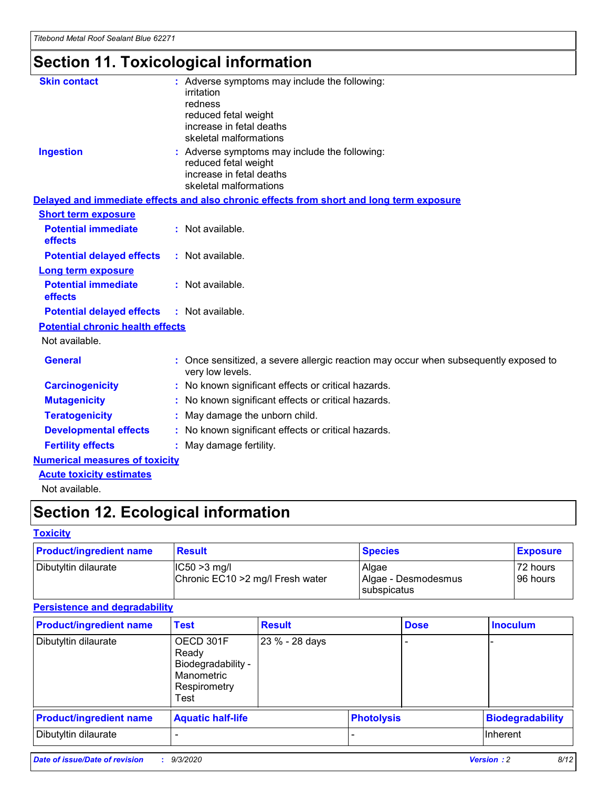## **Section 11. Toxicological information**

| <b>Skin contact</b>                     | : Adverse symptoms may include the following:                                                                               |  |
|-----------------------------------------|-----------------------------------------------------------------------------------------------------------------------------|--|
|                                         | irritation                                                                                                                  |  |
|                                         | redness<br>reduced fetal weight                                                                                             |  |
|                                         | increase in fetal deaths                                                                                                    |  |
|                                         | skeletal malformations                                                                                                      |  |
| <b>Ingestion</b>                        | : Adverse symptoms may include the following:<br>reduced fetal weight<br>increase in fetal deaths<br>skeletal malformations |  |
|                                         | Delayed and immediate effects and also chronic effects from short and long term exposure                                    |  |
| <b>Short term exposure</b>              |                                                                                                                             |  |
| <b>Potential immediate</b><br>effects   | : Not available.                                                                                                            |  |
| <b>Potential delayed effects</b>        | : Not available.                                                                                                            |  |
| <b>Long term exposure</b>               |                                                                                                                             |  |
| <b>Potential immediate</b><br>effects   | : Not available.                                                                                                            |  |
| <b>Potential delayed effects</b>        | : Not available.                                                                                                            |  |
| <b>Potential chronic health effects</b> |                                                                                                                             |  |
| Not available.                          |                                                                                                                             |  |
| <b>General</b>                          | : Once sensitized, a severe allergic reaction may occur when subsequently exposed to<br>very low levels.                    |  |
| <b>Carcinogenicity</b>                  | : No known significant effects or critical hazards.                                                                         |  |
| <b>Mutagenicity</b>                     | : No known significant effects or critical hazards.                                                                         |  |
| <b>Teratogenicity</b>                   | May damage the unborn child.                                                                                                |  |
| <b>Developmental effects</b>            | : No known significant effects or critical hazards.                                                                         |  |
| <b>Fertility effects</b>                | May damage fertility.                                                                                                       |  |
| <b>Numerical measures of toxicity</b>   |                                                                                                                             |  |
| <b>Acute toxicity estimates</b>         |                                                                                                                             |  |
| الملحلة والمستحيط والمسالم              |                                                                                                                             |  |

Not available.

### **Section 12. Ecological information**

#### **Toxicity**

| <b>Product/ingredient name</b> | <b>Result</b>                                       | <b>Species</b>               | <b>Exposure</b>       |
|--------------------------------|-----------------------------------------------------|------------------------------|-----------------------|
| Dibutyltin dilaurate           | $ CC50>3$ mg/l<br>Chronic EC10 > 2 mg/l Fresh water | Algae<br>Algae - Desmodesmus | 72 hours<br>196 hours |
|                                |                                                     | <b>I</b> subspicatus         |                       |

#### **Persistence and degradability**

| <b>Product/ingredient name</b> | <b>Test</b>                                                                    | <b>Result</b>  |                   | <b>Dose</b> | <b>Inoculum</b>         |
|--------------------------------|--------------------------------------------------------------------------------|----------------|-------------------|-------------|-------------------------|
| Dibutyltin dilaurate           | OECD 301F<br>Ready<br>Biodegradability -<br>Manometric<br>Respirometry<br>Test | 23 % - 28 days |                   |             |                         |
| <b>Product/ingredient name</b> | <b>Aquatic half-life</b>                                                       |                | <b>Photolysis</b> |             | <b>Biodegradability</b> |
| Dibutyltin dilaurate           |                                                                                |                |                   |             | <b>Inherent</b>         |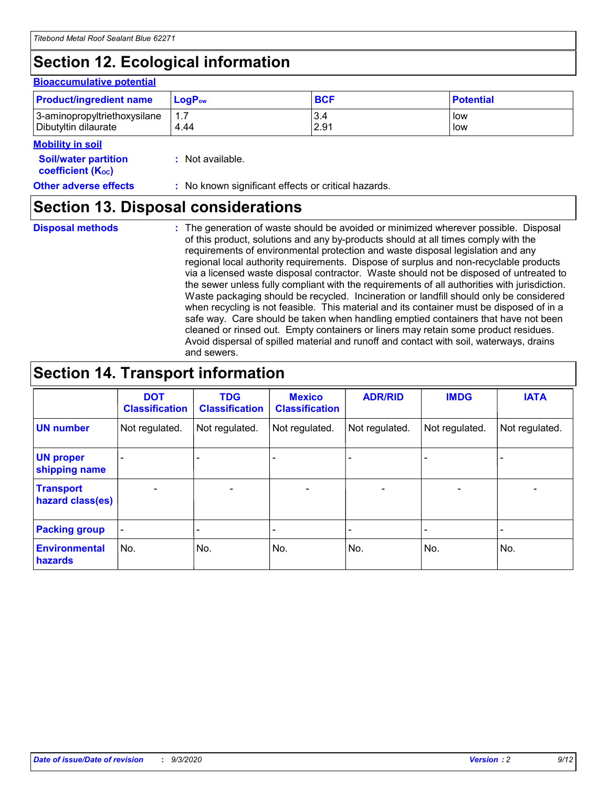## **Section 12. Ecological information**

#### **Bioaccumulative potential**

| <b>Product/ingredient name</b> | <b>LogP</b> <sub>ow</sub> | <b>BCF</b> | <b>Potential</b> |
|--------------------------------|---------------------------|------------|------------------|
| 3-aminopropyltriethoxysilane   | 4.44                      | 3.4        | low              |
| Dibutyltin dilaurate           |                           | 2.91       | low              |

#### **Mobility in soil**

| <b>Soil/water partition</b> | : Not available. |
|-----------------------------|------------------|
| <b>coefficient (Koc)</b>    |                  |

**Other adverse effects** : No known significant effects or critical hazards.

### **Section 13. Disposal considerations**

**Disposal methods :**

The generation of waste should be avoided or minimized wherever possible. Disposal of this product, solutions and any by-products should at all times comply with the requirements of environmental protection and waste disposal legislation and any regional local authority requirements. Dispose of surplus and non-recyclable products via a licensed waste disposal contractor. Waste should not be disposed of untreated to the sewer unless fully compliant with the requirements of all authorities with jurisdiction. Waste packaging should be recycled. Incineration or landfill should only be considered when recycling is not feasible. This material and its container must be disposed of in a safe way. Care should be taken when handling emptied containers that have not been cleaned or rinsed out. Empty containers or liners may retain some product residues. Avoid dispersal of spilled material and runoff and contact with soil, waterways, drains and sewers.

### **Section 14. Transport information**

|                                      | <b>DOT</b><br><b>Classification</b> | <b>TDG</b><br><b>Classification</b> | <b>Mexico</b><br><b>Classification</b> | <b>ADR/RID</b>           | <b>IMDG</b>              | <b>IATA</b>    |
|--------------------------------------|-------------------------------------|-------------------------------------|----------------------------------------|--------------------------|--------------------------|----------------|
| <b>UN number</b>                     | Not regulated.                      | Not regulated.                      | Not regulated.                         | Not regulated.           | Not regulated.           | Not regulated. |
| <b>UN proper</b><br>shipping name    |                                     |                                     |                                        |                          |                          |                |
| <b>Transport</b><br>hazard class(es) |                                     | $\overline{\phantom{0}}$            | $\qquad \qquad \blacksquare$           | $\overline{\phantom{0}}$ | $\overline{\phantom{0}}$ |                |
| <b>Packing group</b>                 |                                     |                                     |                                        |                          |                          |                |
| <b>Environmental</b><br>hazards      | No.                                 | No.                                 | No.                                    | No.                      | No.                      | No.            |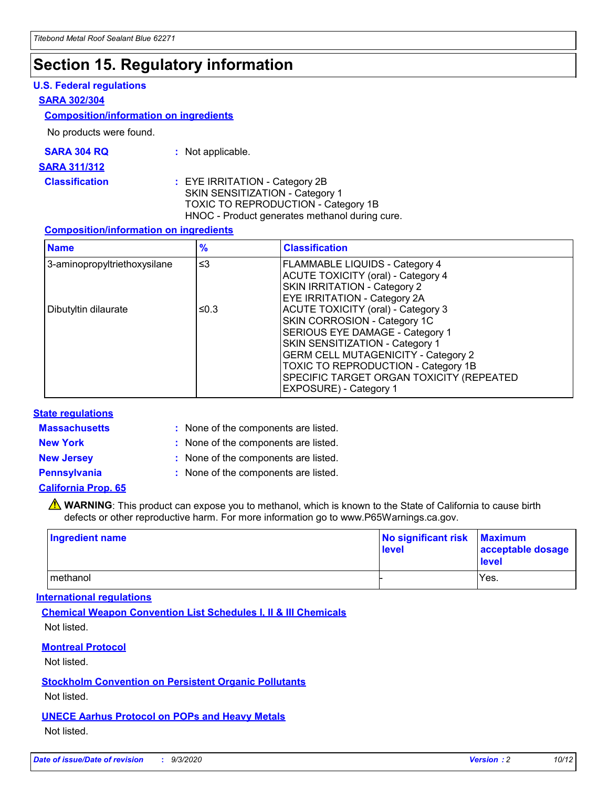### **Section 15. Regulatory information**

#### **U.S. Federal regulations**

#### **SARA 302/304**

#### **Composition/information on ingredients**

No products were found.

| SARA 304 RQ | Not applicable. |
|-------------|-----------------|
|-------------|-----------------|

#### **SARA 311/312**

#### **Classification :** EYE IRRITATION - Category 2B SKIN SENSITIZATION - Category 1 TOXIC TO REPRODUCTION - Category 1B HNOC - Product generates methanol during cure.

#### **Composition/information on ingredients**

| <b>Name</b>                  | $\frac{9}{6}$ | <b>Classification</b>                                                                                                                                                                                                                                                                                      |
|------------------------------|---------------|------------------------------------------------------------------------------------------------------------------------------------------------------------------------------------------------------------------------------------------------------------------------------------------------------------|
| 3-aminopropyltriethoxysilane | $\leq$ 3      | <b>FLAMMABLE LIQUIDS - Category 4</b><br><b>ACUTE TOXICITY (oral) - Category 4</b><br><b>SKIN IRRITATION - Category 2</b><br>EYE IRRITATION - Category 2A                                                                                                                                                  |
| Dibutyltin dilaurate         | ≤0.3          | <b>ACUTE TOXICITY (oral) - Category 3</b><br>SKIN CORROSION - Category 1C<br>SERIOUS EYE DAMAGE - Category 1<br>SKIN SENSITIZATION - Category 1<br><b>GERM CELL MUTAGENICITY - Category 2</b><br>TOXIC TO REPRODUCTION - Category 1B<br>SPECIFIC TARGET ORGAN TOXICITY (REPEATED<br>EXPOSURE) - Category 1 |

#### **State regulations**

**Massachusetts :**

: None of the components are listed.

**New York :** None of the components are listed. **New Jersey :** None of the components are listed.

**Pennsylvania :** None of the components are listed.

#### **California Prop. 65**

WARNING: This product can expose you to methanol, which is known to the State of California to cause birth defects or other reproductive harm. For more information go to www.P65Warnings.ca.gov.

| Ingredient name | No significant risk<br>level | <b>Maximum</b><br>acceptable dosage<br><b>level</b> |
|-----------------|------------------------------|-----------------------------------------------------|
| l methanol      |                              | Yes.                                                |

#### **International regulations**

**Chemical Weapon Convention List Schedules I, II & III Chemicals** Not listed.

#### **Montreal Protocol**

Not listed.

**Stockholm Convention on Persistent Organic Pollutants**

Not listed.

#### **UNECE Aarhus Protocol on POPs and Heavy Metals** Not listed.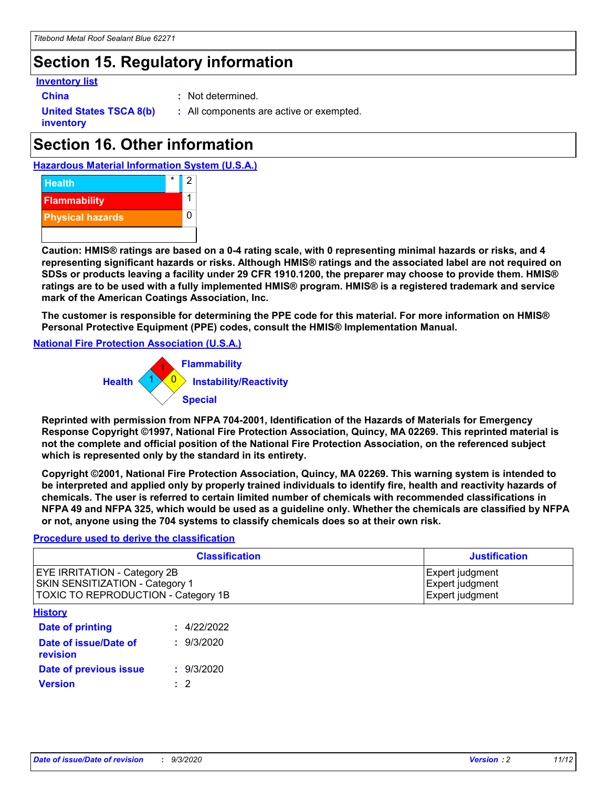### **Section 15. Regulatory information**

#### **Inventory list**

**China :** Not determined.

**United States TSCA 8(b) inventory**

**:** All components are active or exempted.

## **Section 16. Other information**





**Caution: HMIS® ratings are based on a 0-4 rating scale, with 0 representing minimal hazards or risks, and 4 representing significant hazards or risks. Although HMIS® ratings and the associated label are not required on SDSs or products leaving a facility under 29 CFR 1910.1200, the preparer may choose to provide them. HMIS® ratings are to be used with a fully implemented HMIS® program. HMIS® is a registered trademark and service mark of the American Coatings Association, Inc.**

**The customer is responsible for determining the PPE code for this material. For more information on HMIS® Personal Protective Equipment (PPE) codes, consult the HMIS® Implementation Manual.**

**National Fire Protection Association (U.S.A.)**



**Reprinted with permission from NFPA 704-2001, Identification of the Hazards of Materials for Emergency Response Copyright ©1997, National Fire Protection Association, Quincy, MA 02269. This reprinted material is not the complete and official position of the National Fire Protection Association, on the referenced subject which is represented only by the standard in its entirety.**

**Copyright ©2001, National Fire Protection Association, Quincy, MA 02269. This warning system is intended to be interpreted and applied only by properly trained individuals to identify fire, health and reactivity hazards of chemicals. The user is referred to certain limited number of chemicals with recommended classifications in NFPA 49 and NFPA 325, which would be used as a guideline only. Whether the chemicals are classified by NFPA or not, anyone using the 704 systems to classify chemicals does so at their own risk.**

#### **Procedure used to derive the classification**

| <b>Classification</b>                                                                                         | <b>Justification</b>                                  |
|---------------------------------------------------------------------------------------------------------------|-------------------------------------------------------|
| <b>EYE IRRITATION - Category 2B</b><br>SKIN SENSITIZATION - Category 1<br>TOXIC TO REPRODUCTION - Category 1B | Expert judgment<br>Expert judgment<br>Expert judgment |
| <b>History</b>                                                                                                |                                                       |

| .                                 |             |
|-----------------------------------|-------------|
| Date of printing                  | : 4/22/2022 |
| Date of issue/Date of<br>revision | : 9/3/2020  |
| Date of previous issue            | : 9/3/2020  |
| <b>Version</b>                    | $\cdot$ 2   |
|                                   |             |